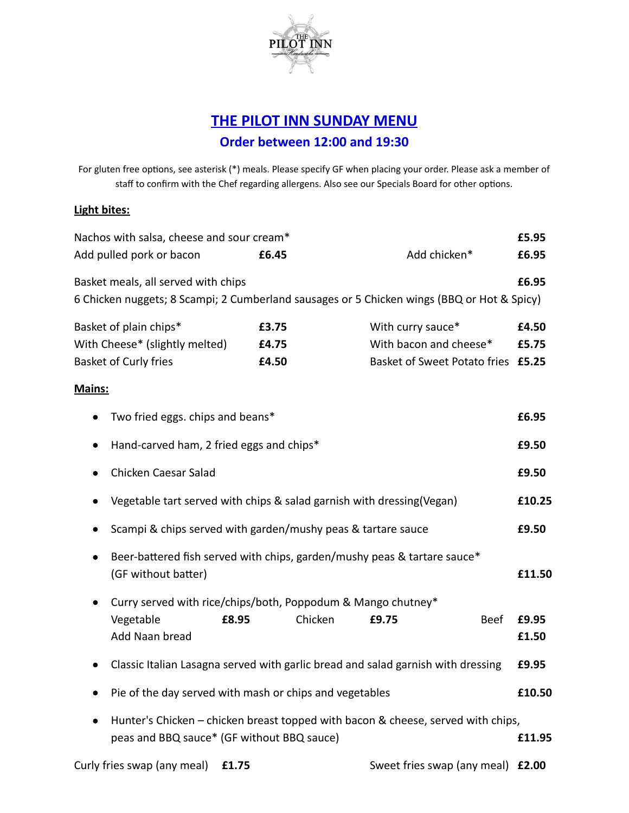

## **THE PILOT INN SUNDAY MENU Order between 12:00 and 19:30**

For gluten free options, see asterisk (\*) meals. Please specify GF when placing your order. Please ask a member of staff to confirm with the Chef regarding allergens. Also see our Specials Board for other options.

## **Light bites:**

| Nachos with salsa, cheese and sour cream*                                                                                         |                         |                                                                                   | £5.95                               |
|-----------------------------------------------------------------------------------------------------------------------------------|-------------------------|-----------------------------------------------------------------------------------|-------------------------------------|
| Add pulled pork or bacon                                                                                                          | £6.45                   | Add chicken*                                                                      | £6.95                               |
| Basket meals, all served with chips<br>6 Chicken nuggets; 8 Scampi; 2 Cumberland sausages or 5 Chicken wings (BBQ or Hot & Spicy) |                         |                                                                                   | £6.95                               |
| Basket of plain chips*<br>With Cheese* (slightly melted)<br>Basket of Curly fries                                                 | £3.75<br>£4.75<br>£4.50 | With curry sauce*<br>With bacon and cheese*<br>Basket of Sweet Potato fries £5.25 | £4.50<br>£5.75                      |
| <b>Mains:</b><br>Two fried eggs. chips and beans*<br>Hand-carved ham, 2 fried eggs and chips*                                     |                         |                                                                                   | £6.95<br>£9.50                      |
| Chicken Caesar Salad<br>Vegetable tart served with chips & salad garnish with dressing(Vegan)                                     |                         |                                                                                   |                                     |
| Scampi & chips served with garden/mushy peas & tartare sauce                                                                      |                         |                                                                                   |                                     |
| ٠<br>(GF without batter)                                                                                                          |                         | Beer-battered fish served with chips, garden/mushy peas & tartare sauce*          | £11.50                              |
| Curry served with rice/chips/both, Poppodum & Mango chutney*<br>Vegetable<br>£8.95<br>Add Naan bread                              | Chicken                 | £9.75                                                                             | <b>Beef</b><br>£9.95<br>£1.50       |
|                                                                                                                                   |                         | Classic Italian Lasagna served with garlic bread and salad garnish with dressing  | £9.95                               |
| Pie of the day served with mash or chips and vegetables                                                                           |                         |                                                                                   | £10.50                              |
| $\bullet$<br>peas and BBQ sauce* (GF without BBQ sauce)                                                                           |                         | Hunter's Chicken - chicken breast topped with bacon & cheese, served with chips,  | £11.95                              |
| $\blacksquare$                                                                                                                    |                         | $\sigma$ and $\sigma$ is the set of $\sigma$                                      | $\overline{11}$ co. $\overline{22}$ |